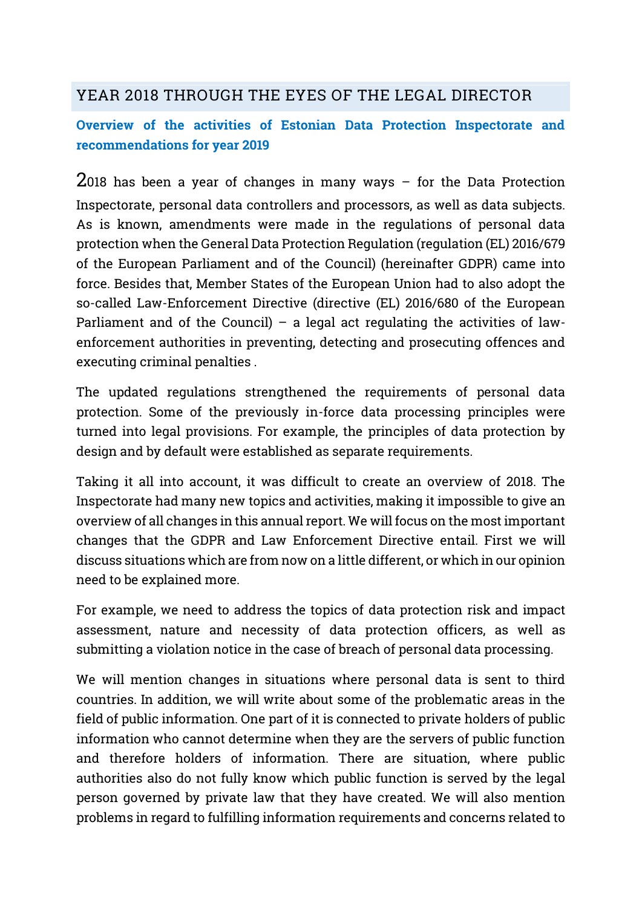## YEAR 2018 THROUGH THE EYES OF THE LEGAL DIRECTOR

## Overview of the activities of Estonian Data Protection Inspectorate and recommendations for year 2019

 $2018$  has been a year of changes in many ways  $-$  for the Data Protection Inspectorate, personal data controllers and processors, as well as data subjects. As is known, amendments were made in the regulations of personal data protection when the General Data Protection Regulation (regulation (EL) 2016/679 of the European Parliament and of the Council) (hereinafter GDPR) came into force. Besides that, Member States of the European Union had to also adopt the so-called Law-Enforcement Directive (directive (EL) 2016/680 of the European Parliament and of the Council) – a legal act regulating the activities of lawenforcement authorities in preventing, detecting and prosecuting offences and executing criminal penalties .

The updated regulations strengthened the requirements of personal data protection. Some of the previously in-force data processing principles were turned into legal provisions. For example, the principles of data protection by design and by default were established as separate requirements.

Taking it all into account, it was difficult to create an overview of 2018. The Inspectorate had many new topics and activities, making it impossible to give an overview of all changes in this annual report. We will focus on the most important changes that the GDPR and Law Enforcement Directive entail. First we will discuss situations which are from now on a little different, or which in our opinion need to be explained more.

For example, we need to address the topics of data protection risk and impact assessment, nature and necessity of data protection officers, as well as submitting a violation notice in the case of breach of personal data processing.

We will mention changes in situations where personal data is sent to third countries. In addition, we will write about some of the problematic areas in the field of public information. One part of it is connected to private holders of public information who cannot determine when they are the servers of public function and therefore holders of information. There are situation, where public authorities also do not fully know which public function is served by the legal person governed by private law that they have created. We will also mention problems in regard to fulfilling information requirements and concerns related to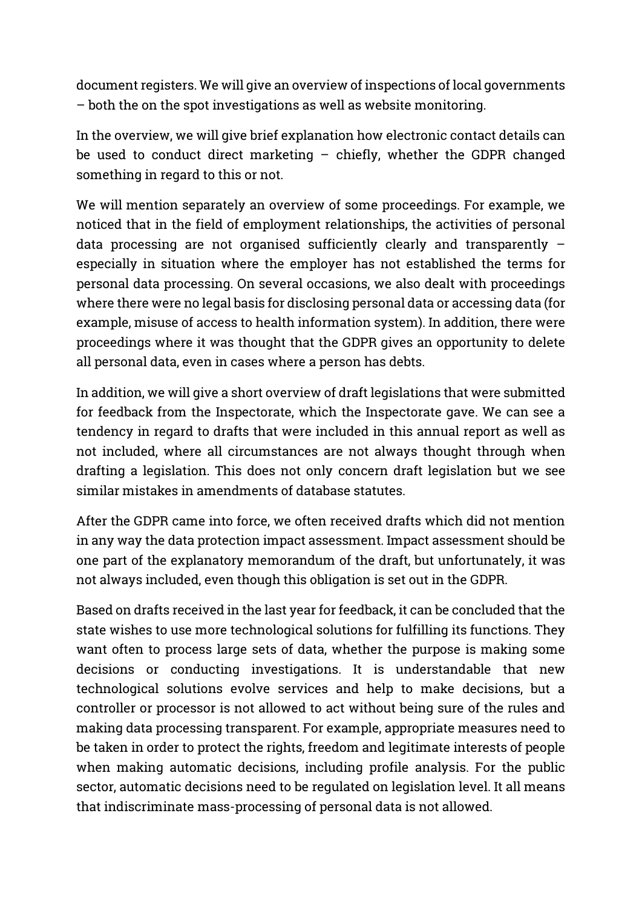document registers. We will give an overview of inspections of local governments – both the on the spot investigations as well as website monitoring.

In the overview, we will give brief explanation how electronic contact details can be used to conduct direct marketing  $-$  chiefly, whether the GDPR changed something in regard to this or not.

We will mention separately an overview of some proceedings. For example, we noticed that in the field of employment relationships, the activities of personal data processing are not organised sufficiently clearly and transparently – especially in situation where the employer has not established the terms for personal data processing. On several occasions, we also dealt with proceedings where there were no legal basis for disclosing personal data or accessing data (for example, misuse of access to health information system). In addition, there were proceedings where it was thought that the GDPR gives an opportunity to delete all personal data, even in cases where a person has debts.

In addition, we will give a short overview of draft legislations that were submitted for feedback from the Inspectorate, which the Inspectorate gave. We can see a tendency in regard to drafts that were included in this annual report as well as not included, where all circumstances are not always thought through when drafting a legislation. This does not only concern draft legislation but we see similar mistakes in amendments of database statutes.

After the GDPR came into force, we often received drafts which did not mention in any way the data protection impact assessment. Impact assessment should be one part of the explanatory memorandum of the draft, but unfortunately, it was not always included, even though this obligation is set out in the GDPR.

Based on drafts received in the last year for feedback, it can be concluded that the state wishes to use more technological solutions for fulfilling its functions. They want often to process large sets of data, whether the purpose is making some decisions or conducting investigations. It is understandable that new technological solutions evolve services and help to make decisions, but a controller or processor is not allowed to act without being sure of the rules and making data processing transparent. For example, appropriate measures need to be taken in order to protect the rights, freedom and legitimate interests of people when making automatic decisions, including profile analysis. For the public sector, automatic decisions need to be regulated on legislation level. It all means that indiscriminate mass-processing of personal data is not allowed.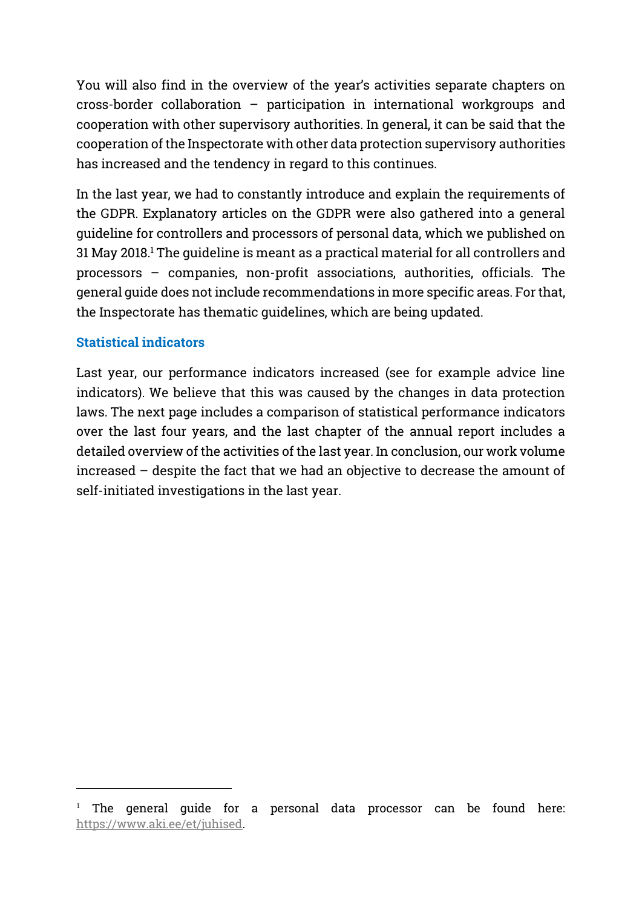You will also find in the overview of the year's activities separate chapters on cross-border collaboration – participation in international workgroups and cooperation with other supervisory authorities. In general, it can be said that the cooperation of the Inspectorate with other data protection supervisory authorities has increased and the tendency in regard to this continues.

In the last year, we had to constantly introduce and explain the requirements of the GDPR. Explanatory articles on the GDPR were also gathered into a general guideline for controllers and processors of personal data, which we published on 31 May 2018.<sup>1</sup> The guideline is meant as a practical material for all controllers and processors – companies, non-profit associations, authorities, officials. The general guide does not include recommendations in more specific areas. For that, the Inspectorate has thematic guidelines, which are being updated.

#### Statistical indicators

1

Last year, our performance indicators increased (see for example advice line indicators). We believe that this was caused by the changes in data protection laws. The next page includes a comparison of statistical performance indicators over the last four years, and the last chapter of the annual report includes a detailed overview of the activities of the last year. In conclusion, our work volume increased – despite the fact that we had an objective to decrease the amount of self-initiated investigations in the last year.

 $1$  The general guide for a personal data processor can be found here: [https://www.aki.ee/et/juhised.](https://www.aki.ee/et/juhised)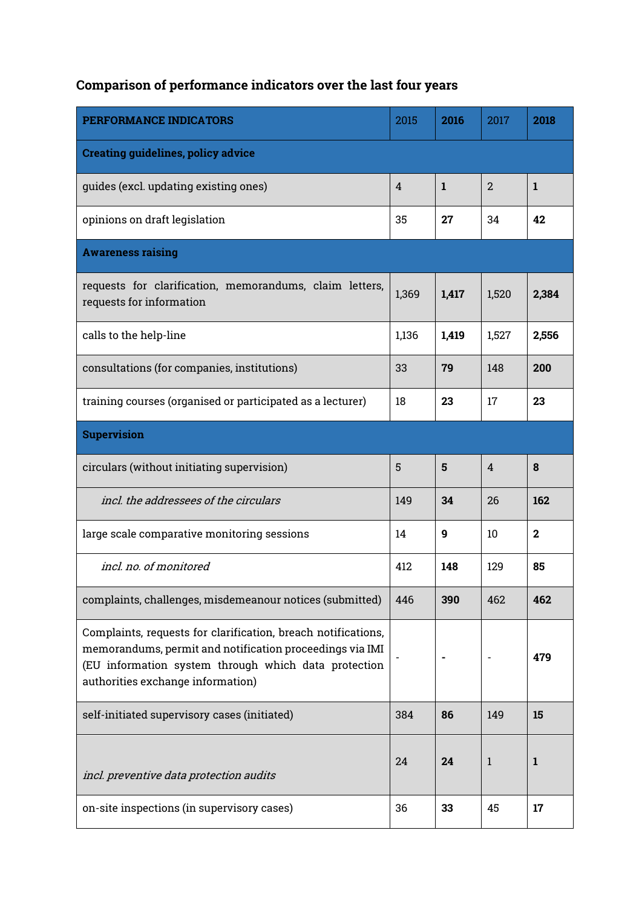# Comparison of performance indicators over the last four years

| PERFORMANCE INDICATORS                                                                                                                                                                                                 | 2015  | 2016  | 2017  | 2018         |
|------------------------------------------------------------------------------------------------------------------------------------------------------------------------------------------------------------------------|-------|-------|-------|--------------|
| <b>Creating guidelines, policy advice</b>                                                                                                                                                                              |       |       |       |              |
| quides (excl. updating existing ones)                                                                                                                                                                                  | 4     | 1     | 2     | 1            |
| opinions on draft legislation                                                                                                                                                                                          | 35    | 27    | 34    | 42           |
| <b>Awareness raising</b>                                                                                                                                                                                               |       |       |       |              |
| requests for clarification, memorandums, claim letters,<br>requests for information                                                                                                                                    | 1,369 | 1,417 | 1,520 | 2,384        |
| calls to the help-line                                                                                                                                                                                                 | 1,136 | 1,419 | 1,527 | 2,556        |
| consultations (for companies, institutions)                                                                                                                                                                            | 33    | 79    | 148   | 200          |
| training courses (organised or participated as a lecturer)                                                                                                                                                             | 18    | 23    | 17    | 23           |
| <b>Supervision</b>                                                                                                                                                                                                     |       |       |       |              |
| circulars (without initiating supervision)                                                                                                                                                                             | 5     | 5     | 4     | 8            |
| incl, the addressees of the circulars                                                                                                                                                                                  | 149   | 34    | 26    | 162          |
| large scale comparative monitoring sessions                                                                                                                                                                            | 14    | 9     | 10    | $\mathbf{2}$ |
| incl. no. of monitored                                                                                                                                                                                                 | 412   | 148   | 129   | 85           |
| complaints, challenges, misdemeanour notices (submitted)                                                                                                                                                               | 446   | 390   | 462   | 462          |
| Complaints, requests for clarification, breach notifications,<br>memorandums, permit and notification proceedings via IMI<br>(EU information system through which data protection<br>authorities exchange information) |       |       |       | 479          |
| self-initiated supervisory cases (initiated)                                                                                                                                                                           | 384   | 86    | 149   | 15           |
| incl. preventive data protection audits                                                                                                                                                                                | 24    | 24    | 1     | 1            |
| on-site inspections (in supervisory cases)                                                                                                                                                                             | 36    | 33    | 45    | 17           |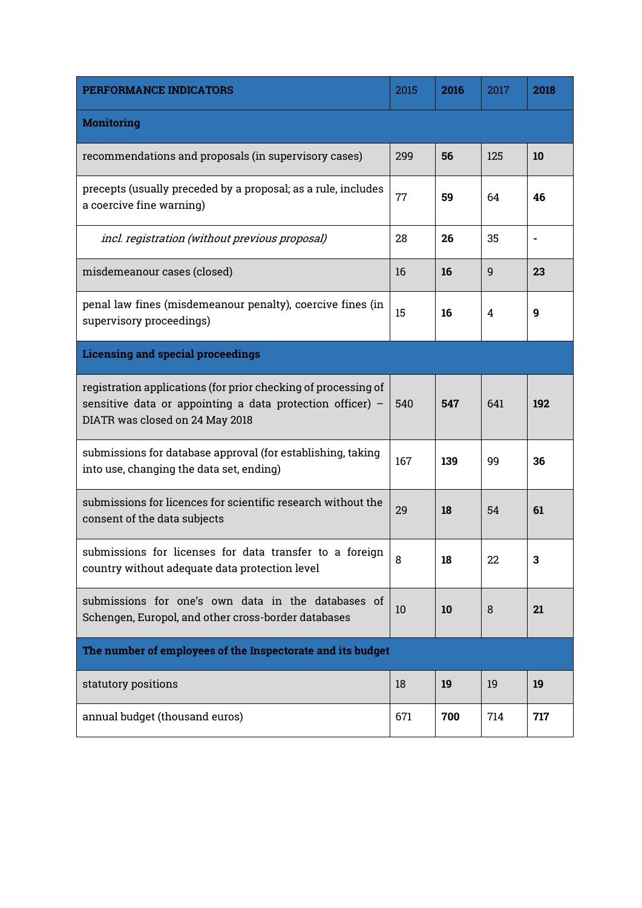| PERFORMANCE INDICATORS                                                                                                                                           | 2015 | 2016 | 2017 | 2018 |
|------------------------------------------------------------------------------------------------------------------------------------------------------------------|------|------|------|------|
| <b>Monitoring</b>                                                                                                                                                |      |      |      |      |
| recommendations and proposals (in supervisory cases)                                                                                                             | 299  | 56   | 125  | 10   |
| precepts (usually preceded by a proposal; as a rule, includes<br>a coercive fine warning)                                                                        | 77   | 59   | 64   | 46   |
| incl. registration (without previous proposal)                                                                                                                   | 28   | 26   | 35   |      |
| misdemeanour cases (closed)                                                                                                                                      | 16   | 16   | 9    | 23   |
| penal law fines (misdemeanour penalty), coercive fines (in<br>supervisory proceedings)                                                                           | 15   | 16   | 4    | 9    |
| <b>Licensing and special proceedings</b>                                                                                                                         |      |      |      |      |
| registration applications (for prior checking of processing of<br>sensitive data or appointing a data protection officer) $-$<br>DIATR was closed on 24 May 2018 | 540  | 547  | 641  | 192  |
| submissions for database approval (for establishing, taking<br>into use, changing the data set, ending)                                                          | 167  | 139  | 99   | 36   |
| submissions for licences for scientific research without the<br>consent of the data subjects                                                                     | 29   | 18   | 54   | 61   |
| submissions for licenses for data transfer to a foreign<br>country without adequate data protection level                                                        | 8    | 18   | 22   |      |
| submissions for one's own data in the databases of<br>Schengen, Europol, and other cross-border databases                                                        | 10   | 10   | 8    | 21   |
| The number of employees of the Inspectorate and its budget                                                                                                       |      |      |      |      |
| statutory positions                                                                                                                                              | 18   | 19   | 19   | 19   |
| annual budget (thousand euros)                                                                                                                                   | 671  | 700  | 714  | 717  |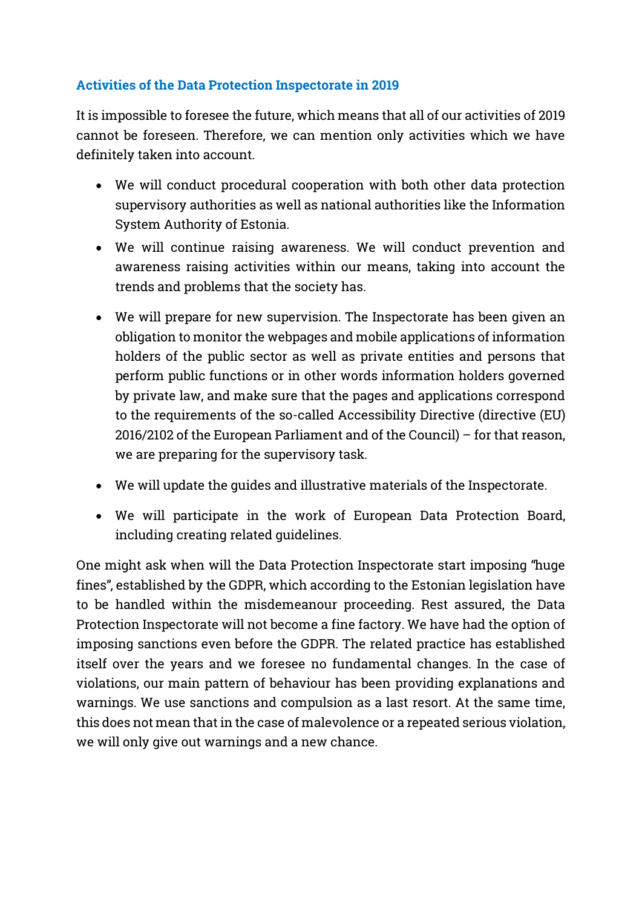## Activities of the Data Protection Inspectorate in 2019

It is impossible to foresee the future, which means that all of our activities of 2019 cannot be foreseen. Therefore, we can mention only activities which we have definitely taken into account.

- We will conduct procedural cooperation with both other data protection supervisory authorities as well as national authorities like the Information System Authority of Estonia.
- We will continue raising awareness. We will conduct prevention and awareness raising activities within our means, taking into account the trends and problems that the society has.
- We will prepare for new supervision. The Inspectorate has been given an obligation to monitor the webpages and mobile applications of information holders of the public sector as well as private entities and persons that perform public functions or in other words information holders governed by private law, and make sure that the pages and applications correspond to the requirements of the so-called Accessibility Directive (directive (EU) 2016/2102 of the European Parliament and of the Council) – for that reason, we are preparing for the supervisory task.
- We will update the guides and illustrative materials of the Inspectorate.
- We will participate in the work of European Data Protection Board, including creating related guidelines.

One might ask when will the Data Protection Inspectorate start imposing "huge fines", established by the GDPR, which according to the Estonian legislation have to be handled within the misdemeanour proceeding. Rest assured, the Data Protection Inspectorate will not become a fine factory. We have had the option of imposing sanctions even before the GDPR. The related practice has established itself over the years and we foresee no fundamental changes. In the case of violations, our main pattern of behaviour has been providing explanations and warnings. We use sanctions and compulsion as a last resort. At the same time, this does not mean that in the case of malevolence or a repeated serious violation, we will only give out warnings and a new chance.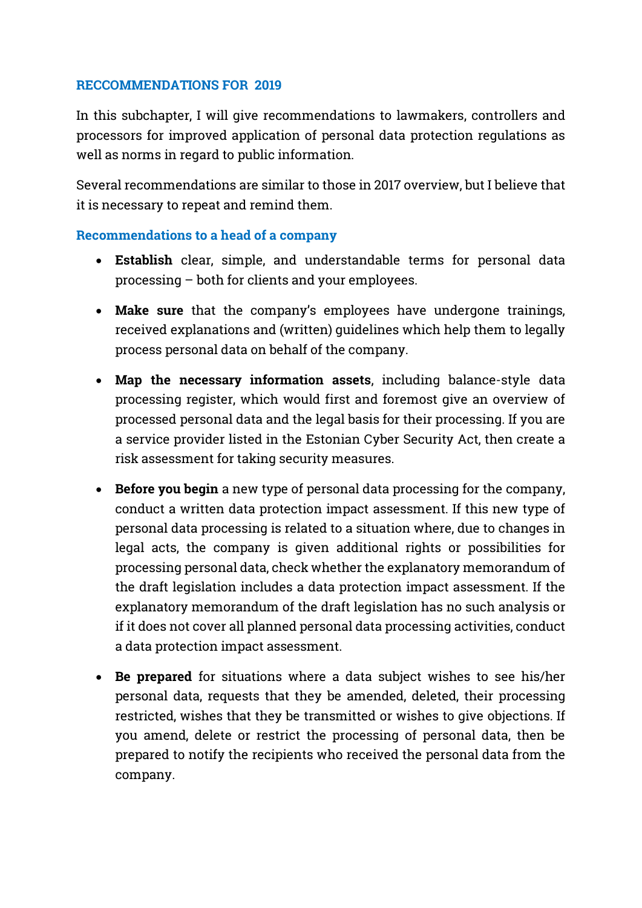#### RECCOMMENDATIONS FOR 2019

In this subchapter, I will give recommendations to lawmakers, controllers and processors for improved application of personal data protection regulations as well as norms in regard to public information.

Several recommendations are similar to those in 2017 overview, but I believe that it is necessary to repeat and remind them.

#### Recommendations to a head of a company

- Establish clear, simple, and understandable terms for personal data processing – both for clients and your employees.
- Make sure that the company's employees have undergone trainings, received explanations and (written) guidelines which help them to legally process personal data on behalf of the company.
- Map the necessary information assets, including balance-style data processing register, which would first and foremost give an overview of processed personal data and the legal basis for their processing. If you are a service provider listed in the Estonian Cyber Security Act, then create a risk assessment for taking security measures.
- Before you begin a new type of personal data processing for the company, conduct a written data protection impact assessment. If this new type of personal data processing is related to a situation where, due to changes in legal acts, the company is given additional rights or possibilities for processing personal data, check whether the explanatory memorandum of the draft legislation includes a data protection impact assessment. If the explanatory memorandum of the draft legislation has no such analysis or if it does not cover all planned personal data processing activities, conduct a data protection impact assessment.
- Be prepared for situations where a data subject wishes to see his/her personal data, requests that they be amended, deleted, their processing restricted, wishes that they be transmitted or wishes to give objections. If you amend, delete or restrict the processing of personal data, then be prepared to notify the recipients who received the personal data from the company.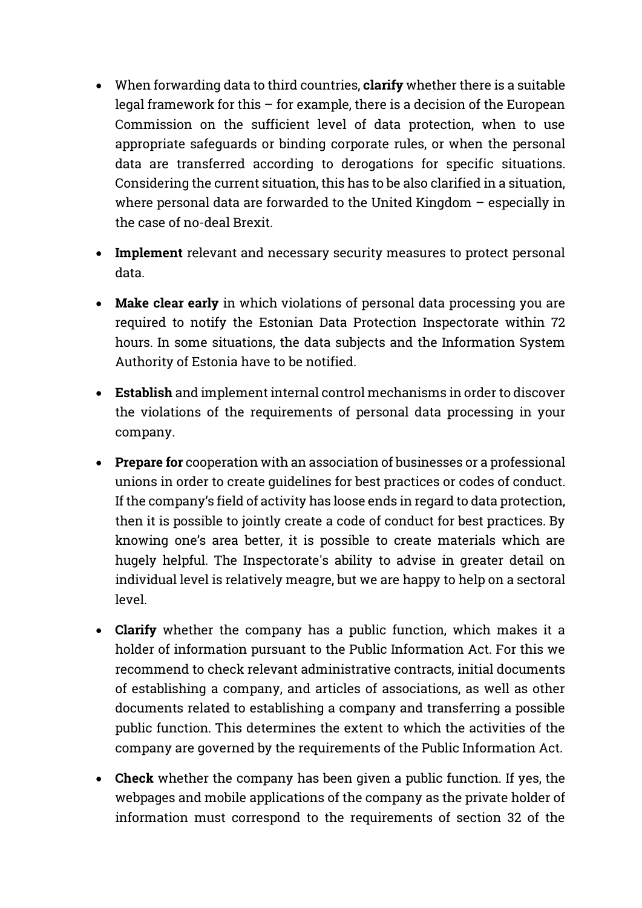- When forwarding data to third countries, **clarify** whether there is a suitable legal framework for this – for example, there is a decision of the European Commission on the sufficient level of data protection, when to use appropriate safeguards or binding corporate rules, or when the personal data are transferred according to derogations for specific situations. Considering the current situation, this has to be also clarified in a situation, where personal data are forwarded to the United Kingdom  $-$  especially in the case of no-deal Brexit.
- Implement relevant and necessary security measures to protect personal data.
- Make clear early in which violations of personal data processing you are required to notify the Estonian Data Protection Inspectorate within 72 hours. In some situations, the data subjects and the Information System Authority of Estonia have to be notified.
- Establish and implement internal control mechanisms in order to discover the violations of the requirements of personal data processing in your company.
- **Prepare for** cooperation with an association of businesses or a professional unions in order to create guidelines for best practices or codes of conduct. If the company's field of activity has loose ends in regard to data protection, then it is possible to jointly create a code of conduct for best practices. By knowing one's area better, it is possible to create materials which are hugely helpful. The Inspectorate's ability to advise in greater detail on individual level is relatively meagre, but we are happy to help on a sectoral level.
- Clarify whether the company has a public function, which makes it a holder of information pursuant to the Public Information Act. For this we recommend to check relevant administrative contracts, initial documents of establishing a company, and articles of associations, as well as other documents related to establishing a company and transferring a possible public function. This determines the extent to which the activities of the company are governed by the requirements of the Public Information Act.
- Check whether the company has been given a public function. If yes, the webpages and mobile applications of the company as the private holder of information must correspond to the requirements of section 32 of the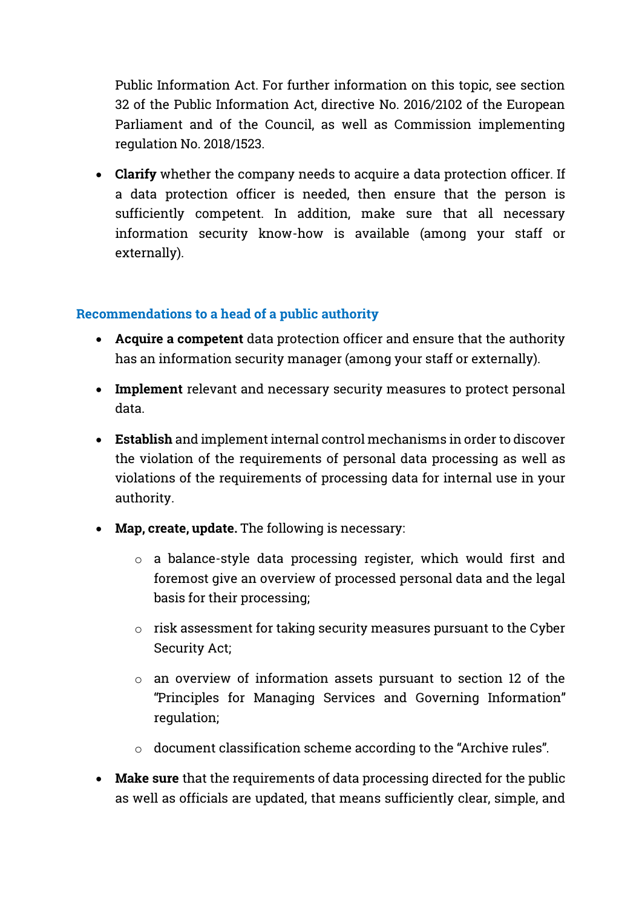Public Information Act. For further information on this topic, see section 32 of the Public Information Act, directive No. 2016/2102 of the European Parliament and of the Council, as well as Commission implementing regulation No. 2018/1523.

• Clarify whether the company needs to acquire a data protection officer. If a data protection officer is needed, then ensure that the person is sufficiently competent. In addition, make sure that all necessary information security know-how is available (among your staff or externally).

#### Recommendations to a head of a public authority

- Acquire a competent data protection officer and ensure that the authority has an information security manager (among your staff or externally).
- Implement relevant and necessary security measures to protect personal data.
- Establish and implement internal control mechanisms in order to discover the violation of the requirements of personal data processing as well as violations of the requirements of processing data for internal use in your authority.
- Map, create, update. The following is necessary:
	- o a balance-style data processing register, which would first and foremost give an overview of processed personal data and the legal basis for their processing;
	- $\circ$  risk assessment for taking security measures pursuant to the Cyber Security Act;
	- o an overview of information assets pursuant to section 12 of the "Principles for Managing Services and Governing Information" regulation;
	- o document classification scheme according to the "Archive rules".
- Make sure that the requirements of data processing directed for the public as well as officials are updated, that means sufficiently clear, simple, and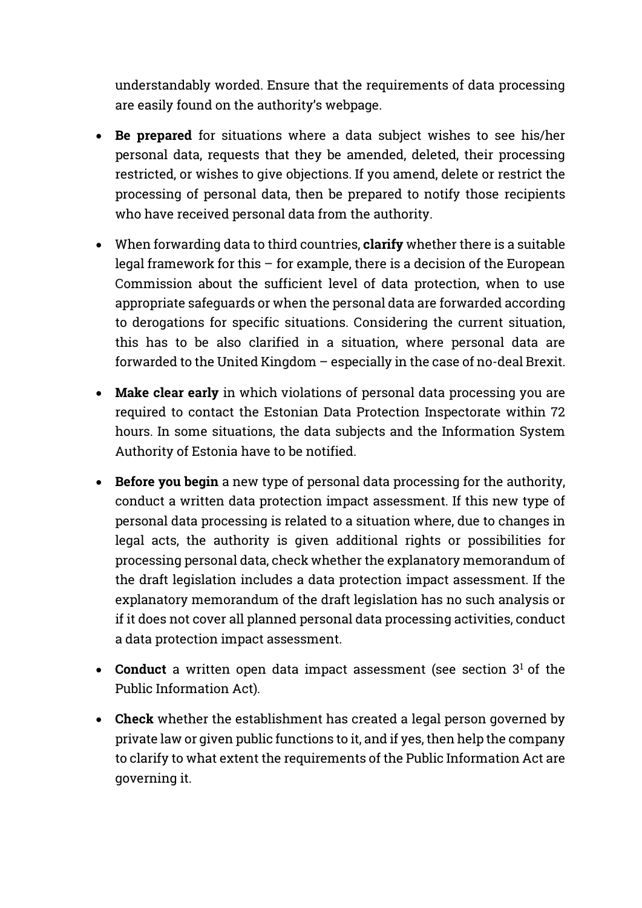understandably worded. Ensure that the requirements of data processing are easily found on the authority's webpage.

- Be prepared for situations where a data subject wishes to see his/her personal data, requests that they be amended, deleted, their processing restricted, or wishes to give objections. If you amend, delete or restrict the processing of personal data, then be prepared to notify those recipients who have received personal data from the authority.
- When forwarding data to third countries, clarify whether there is a suitable legal framework for this – for example, there is a decision of the European Commission about the sufficient level of data protection, when to use appropriate safeguards or when the personal data are forwarded according to derogations for specific situations. Considering the current situation, this has to be also clarified in a situation, where personal data are forwarded to the United Kingdom – especially in the case of no-deal Brexit.
- Make clear early in which violations of personal data processing you are required to contact the Estonian Data Protection Inspectorate within 72 hours. In some situations, the data subjects and the Information System Authority of Estonia have to be notified.
- Before you begin a new type of personal data processing for the authority, conduct a written data protection impact assessment. If this new type of personal data processing is related to a situation where, due to changes in legal acts, the authority is given additional rights or possibilities for processing personal data, check whether the explanatory memorandum of the draft legislation includes a data protection impact assessment. If the explanatory memorandum of the draft legislation has no such analysis or if it does not cover all planned personal data processing activities, conduct a data protection impact assessment.
- Conduct a written open data impact assessment (see section  $3<sup>1</sup>$  of the Public Information Act).
- Check whether the establishment has created a legal person governed by private law or given public functions to it, and if yes, then help the company to clarify to what extent the requirements of the Public Information Act are governing it.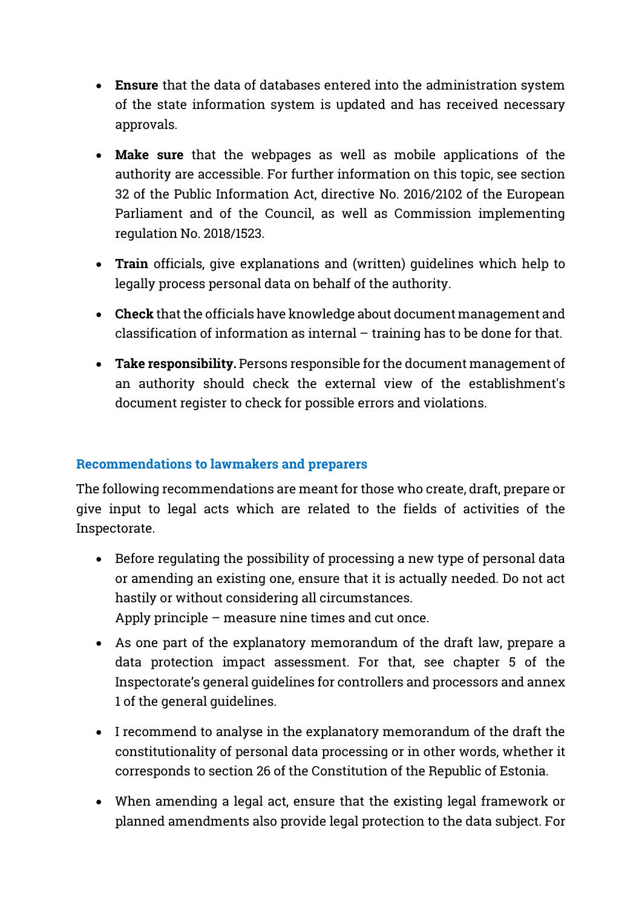- Ensure that the data of databases entered into the administration system of the state information system is updated and has received necessary approvals.
- Make sure that the webpages as well as mobile applications of the authority are accessible. For further information on this topic, see section 32 of the Public Information Act, directive No. 2016/2102 of the European Parliament and of the Council, as well as Commission implementing regulation No. 2018/1523.
- Train officials, give explanations and (written) guidelines which help to legally process personal data on behalf of the authority.
- Check that the officials have knowledge about document management and classification of information as internal – training has to be done for that.
- Take responsibility. Persons responsible for the document management of an authority should check the external view of the establishment's document register to check for possible errors and violations.

## Recommendations to lawmakers and preparers

The following recommendations are meant for those who create, draft, prepare or give input to legal acts which are related to the fields of activities of the Inspectorate.

- Before regulating the possibility of processing a new type of personal data or amending an existing one, ensure that it is actually needed. Do not act hastily or without considering all circumstances. Apply principle – measure nine times and cut once.
- As one part of the explanatory memorandum of the draft law, prepare a data protection impact assessment. For that, see chapter 5 of the Inspectorate's general guidelines for controllers and processors and annex 1 of the general guidelines.
- I recommend to analyse in the explanatory memorandum of the draft the constitutionality of personal data processing or in other words, whether it corresponds to section 26 of the Constitution of the Republic of Estonia.
- When amending a legal act, ensure that the existing legal framework or planned amendments also provide legal protection to the data subject. For